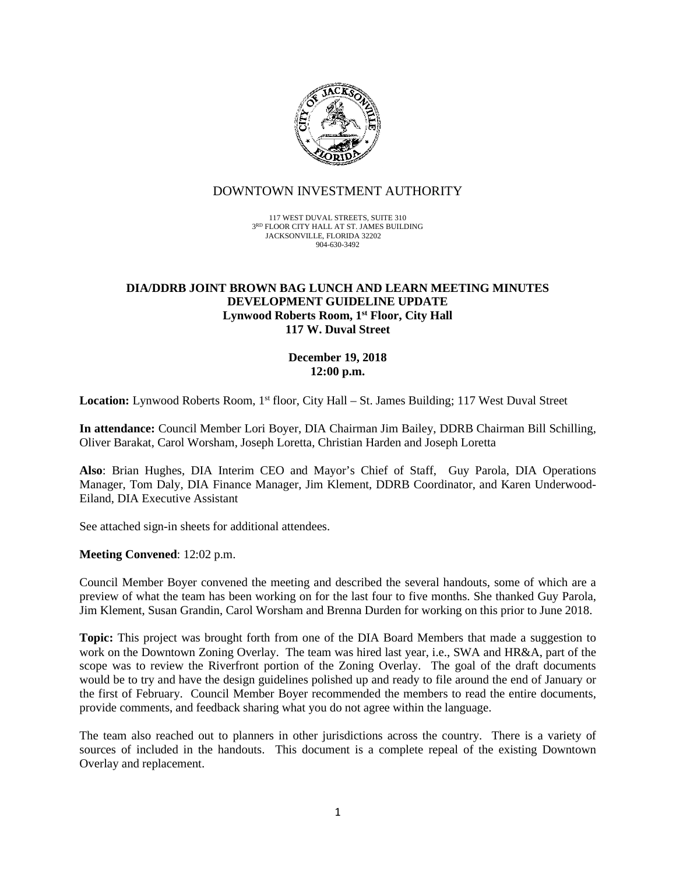

## DOWNTOWN INVESTMENT AUTHORITY

117 WEST DUVAL STREETS, SUITE 310 3RD FLOOR CITY HALL AT ST. JAMES BUILDING JACKSONVILLE, FLORIDA 32202 904-630-3492

#### **DIA/DDRB JOINT BROWN BAG LUNCH AND LEARN MEETING MINUTES DEVELOPMENT GUIDELINE UPDATE Lynwood Roberts Room, 1st Floor, City Hall 117 W. Duval Street**

### **December 19, 2018 12:00 p.m.**

Location: Lynwood Roberts Room, 1<sup>st</sup> floor, City Hall – St. James Building; 117 West Duval Street

**In attendance:** Council Member Lori Boyer, DIA Chairman Jim Bailey, DDRB Chairman Bill Schilling, Oliver Barakat, Carol Worsham, Joseph Loretta, Christian Harden and Joseph Loretta

**Also**: Brian Hughes, DIA Interim CEO and Mayor's Chief of Staff, Guy Parola, DIA Operations Manager, Tom Daly, DIA Finance Manager, Jim Klement, DDRB Coordinator, and Karen Underwood-Eiland, DIA Executive Assistant

See attached sign-in sheets for additional attendees.

#### **Meeting Convened**: 12:02 p.m.

Council Member Boyer convened the meeting and described the several handouts, some of which are a preview of what the team has been working on for the last four to five months. She thanked Guy Parola, Jim Klement, Susan Grandin, Carol Worsham and Brenna Durden for working on this prior to June 2018.

**Topic:** This project was brought forth from one of the DIA Board Members that made a suggestion to work on the Downtown Zoning Overlay. The team was hired last year, i.e., SWA and HR&A, part of the scope was to review the Riverfront portion of the Zoning Overlay. The goal of the draft documents would be to try and have the design guidelines polished up and ready to file around the end of January or the first of February. Council Member Boyer recommended the members to read the entire documents, provide comments, and feedback sharing what you do not agree within the language.

The team also reached out to planners in other jurisdictions across the country. There is a variety of sources of included in the handouts. This document is a complete repeal of the existing Downtown Overlay and replacement.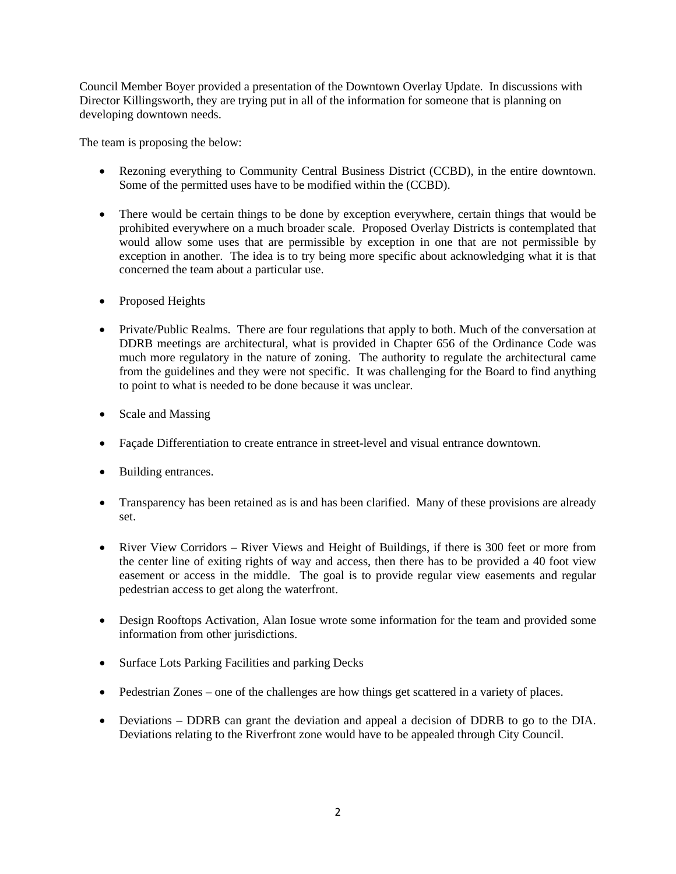Council Member Boyer provided a presentation of the Downtown Overlay Update. In discussions with Director Killingsworth, they are trying put in all of the information for someone that is planning on developing downtown needs.

The team is proposing the below:

- Rezoning everything to Community Central Business District (CCBD), in the entire downtown. Some of the permitted uses have to be modified within the (CCBD).
- There would be certain things to be done by exception everywhere, certain things that would be prohibited everywhere on a much broader scale. Proposed Overlay Districts is contemplated that would allow some uses that are permissible by exception in one that are not permissible by exception in another. The idea is to try being more specific about acknowledging what it is that concerned the team about a particular use.
- Proposed Heights
- Private/Public Realms. There are four regulations that apply to both. Much of the conversation at DDRB meetings are architectural, what is provided in Chapter 656 of the Ordinance Code was much more regulatory in the nature of zoning. The authority to regulate the architectural came from the guidelines and they were not specific. It was challenging for the Board to find anything to point to what is needed to be done because it was unclear.
- Scale and Massing
- Façade Differentiation to create entrance in street-level and visual entrance downtown.
- Building entrances.
- Transparency has been retained as is and has been clarified. Many of these provisions are already set.
- River View Corridors River Views and Height of Buildings, if there is 300 feet or more from the center line of exiting rights of way and access, then there has to be provided a 40 foot view easement or access in the middle. The goal is to provide regular view easements and regular pedestrian access to get along the waterfront.
- Design Rooftops Activation, Alan Iosue wrote some information for the team and provided some information from other jurisdictions.
- Surface Lots Parking Facilities and parking Decks
- Pedestrian Zones one of the challenges are how things get scattered in a variety of places.
- Deviations DDRB can grant the deviation and appeal a decision of DDRB to go to the DIA. Deviations relating to the Riverfront zone would have to be appealed through City Council.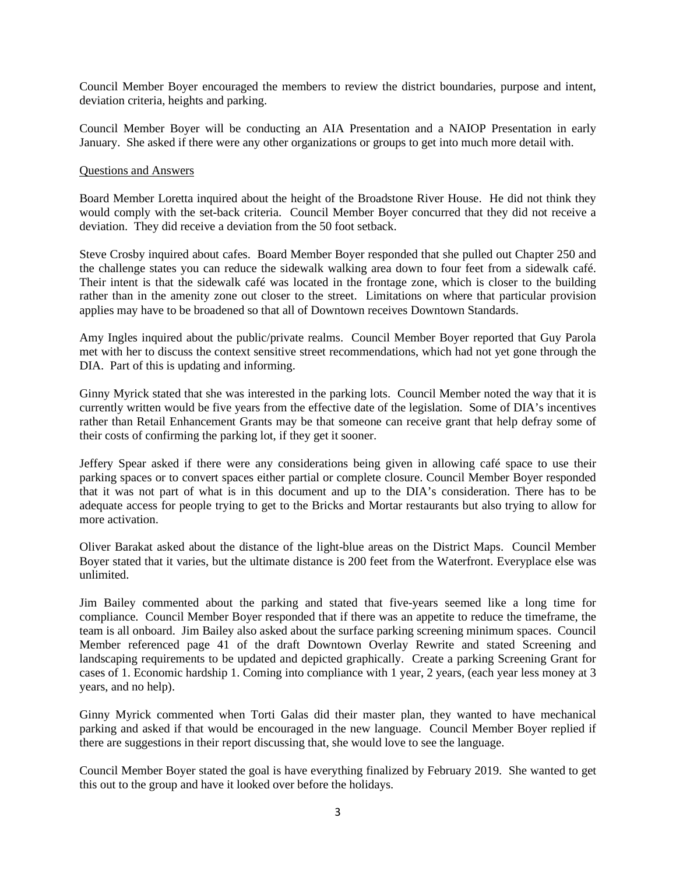Council Member Boyer encouraged the members to review the district boundaries, purpose and intent, deviation criteria, heights and parking.

Council Member Boyer will be conducting an AIA Presentation and a NAIOP Presentation in early January. She asked if there were any other organizations or groups to get into much more detail with.

#### Questions and Answers

Board Member Loretta inquired about the height of the Broadstone River House. He did not think they would comply with the set-back criteria. Council Member Boyer concurred that they did not receive a deviation. They did receive a deviation from the 50 foot setback.

Steve Crosby inquired about cafes. Board Member Boyer responded that she pulled out Chapter 250 and the challenge states you can reduce the sidewalk walking area down to four feet from a sidewalk café. Their intent is that the sidewalk café was located in the frontage zone, which is closer to the building rather than in the amenity zone out closer to the street. Limitations on where that particular provision applies may have to be broadened so that all of Downtown receives Downtown Standards.

Amy Ingles inquired about the public/private realms. Council Member Boyer reported that Guy Parola met with her to discuss the context sensitive street recommendations, which had not yet gone through the DIA. Part of this is updating and informing.

Ginny Myrick stated that she was interested in the parking lots. Council Member noted the way that it is currently written would be five years from the effective date of the legislation. Some of DIA's incentives rather than Retail Enhancement Grants may be that someone can receive grant that help defray some of their costs of confirming the parking lot, if they get it sooner.

Jeffery Spear asked if there were any considerations being given in allowing café space to use their parking spaces or to convert spaces either partial or complete closure. Council Member Boyer responded that it was not part of what is in this document and up to the DIA's consideration. There has to be adequate access for people trying to get to the Bricks and Mortar restaurants but also trying to allow for more activation.

Oliver Barakat asked about the distance of the light-blue areas on the District Maps. Council Member Boyer stated that it varies, but the ultimate distance is 200 feet from the Waterfront. Everyplace else was unlimited.

Jim Bailey commented about the parking and stated that five-years seemed like a long time for compliance. Council Member Boyer responded that if there was an appetite to reduce the timeframe, the team is all onboard. Jim Bailey also asked about the surface parking screening minimum spaces. Council Member referenced page 41 of the draft Downtown Overlay Rewrite and stated Screening and landscaping requirements to be updated and depicted graphically. Create a parking Screening Grant for cases of 1. Economic hardship 1. Coming into compliance with 1 year, 2 years, (each year less money at 3 years, and no help).

Ginny Myrick commented when Torti Galas did their master plan, they wanted to have mechanical parking and asked if that would be encouraged in the new language. Council Member Boyer replied if there are suggestions in their report discussing that, she would love to see the language.

Council Member Boyer stated the goal is have everything finalized by February 2019. She wanted to get this out to the group and have it looked over before the holidays.